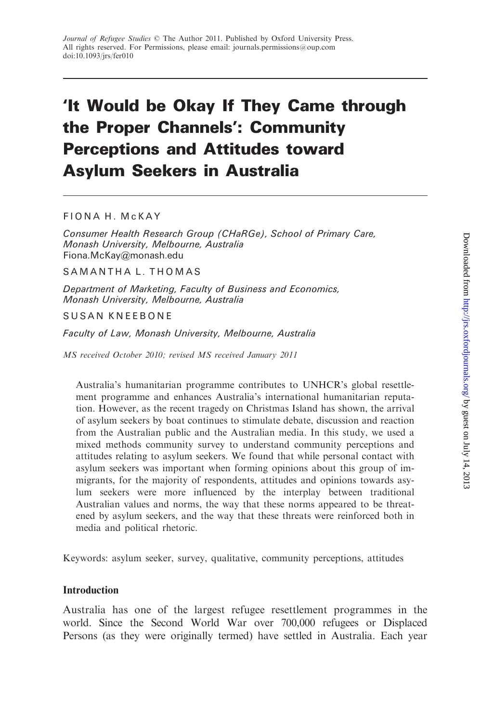# 'It Would be Okay If They Came through the Proper Channels': Community Perceptions and Attitudes toward Asylum Seekers in Australia

FIONA H. McKAY

Consumer Health Research Group (CHaRGe), School of Primary Care, Monash University, Melbourne, Australia Fiona.McKay@monash.edu

SAMANTHA L. THOMAS

Department of Marketing, Faculty of Business and Economics, Monash University, Melbourne, Australia

SUSAN KNEEBONE

Faculty of Law, Monash University, Melbourne, Australia

MS received October 2010; revised MS received January 2011

Australia's humanitarian programme contributes to UNHCR's global resettlement programme and enhances Australia's international humanitarian reputation. However, as the recent tragedy on Christmas Island has shown, the arrival of asylum seekers by boat continues to stimulate debate, discussion and reaction from the Australian public and the Australian media. In this study, we used a mixed methods community survey to understand community perceptions and attitudes relating to asylum seekers. We found that while personal contact with asylum seekers was important when forming opinions about this group of immigrants, for the majority of respondents, attitudes and opinions towards asylum seekers were more influenced by the interplay between traditional Australian values and norms, the way that these norms appeared to be threatened by asylum seekers, and the way that these threats were reinforced both in media and political rhetoric.

Keywords: asylum seeker, survey, qualitative, community perceptions, attitudes

#### **Introduction**

Australia has one of the largest refugee resettlement programmes in the world. Since the Second World War over 700,000 refugees or Displaced Persons (as they were originally termed) have settled in Australia. Each year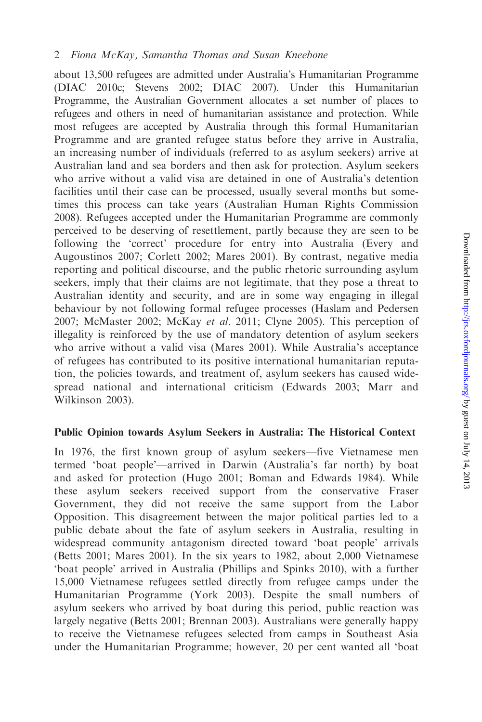about 13,500 refugees are admitted under Australia's Humanitarian Programme (DIAC 2010c; Stevens 2002; DIAC 2007). Under this Humanitarian Programme, the Australian Government allocates a set number of places to refugees and others in need of humanitarian assistance and protection. While most refugees are accepted by Australia through this formal Humanitarian Programme and are granted refugee status before they arrive in Australia, an increasing number of individuals (referred to as asylum seekers) arrive at Australian land and sea borders and then ask for protection. Asylum seekers who arrive without a valid visa are detained in one of Australia's detention facilities until their case can be processed, usually several months but sometimes this process can take years (Australian Human Rights Commission 2008). Refugees accepted under the Humanitarian Programme are commonly perceived to be deserving of resettlement, partly because they are seen to be following the 'correct' procedure for entry into Australia (Every and Augoustinos 2007; Corlett 2002; Mares 2001). By contrast, negative media reporting and political discourse, and the public rhetoric surrounding asylum seekers, imply that their claims are not legitimate, that they pose a threat to Australian identity and security, and are in some way engaging in illegal behaviour by not following formal refugee processes (Haslam and Pedersen 2007; McMaster 2002; McKay et al. 2011; Clyne 2005). This perception of illegality is reinforced by the use of mandatory detention of asylum seekers who arrive without a valid visa (Mares 2001). While Australia's acceptance of refugees has contributed to its positive international humanitarian reputation, the policies towards, and treatment of, asylum seekers has caused widespread national and international criticism (Edwards 2003; Marr and Wilkinson 2003).

# Public Opinion towards Asylum Seekers in Australia: The Historical Context

In 1976, the first known group of asylum seekers—five Vietnamese men termed 'boat people'—arrived in Darwin (Australia's far north) by boat and asked for protection (Hugo 2001; Boman and Edwards 1984). While these asylum seekers received support from the conservative Fraser Government, they did not receive the same support from the Labor Opposition. This disagreement between the major political parties led to a public debate about the fate of asylum seekers in Australia, resulting in widespread community antagonism directed toward 'boat people' arrivals (Betts 2001; Mares 2001). In the six years to 1982, about 2,000 Vietnamese 'boat people' arrived in Australia (Phillips and Spinks 2010), with a further 15,000 Vietnamese refugees settled directly from refugee camps under the Humanitarian Programme (York 2003). Despite the small numbers of asylum seekers who arrived by boat during this period, public reaction was largely negative (Betts 2001; Brennan 2003). Australians were generally happy to receive the Vietnamese refugees selected from camps in Southeast Asia under the Humanitarian Programme; however, 20 per cent wanted all 'boat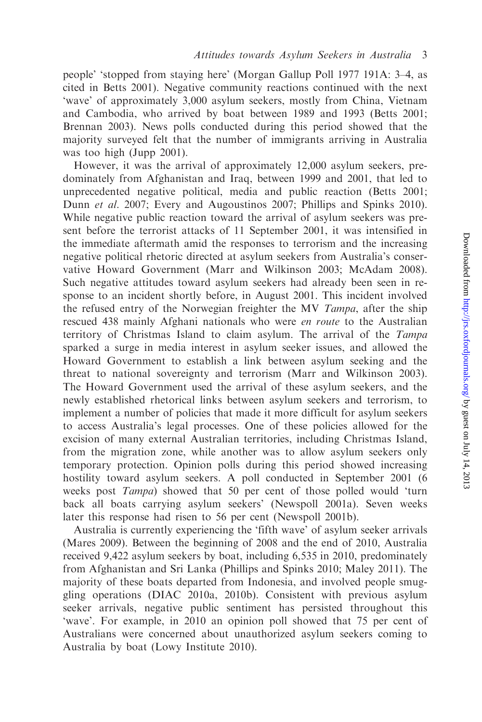people' 'stopped from staying here' (Morgan Gallup Poll 1977 191A: 3–4, as cited in Betts 2001). Negative community reactions continued with the next 'wave' of approximately 3,000 asylum seekers, mostly from China, Vietnam and Cambodia, who arrived by boat between 1989 and 1993 (Betts 2001; Brennan 2003). News polls conducted during this period showed that the majority surveyed felt that the number of immigrants arriving in Australia was too high (Jupp 2001).

However, it was the arrival of approximately 12,000 asylum seekers, predominately from Afghanistan and Iraq, between 1999 and 2001, that led to unprecedented negative political, media and public reaction (Betts 2001; Dunn et al. 2007; Every and Augoustinos 2007; Phillips and Spinks 2010). While negative public reaction toward the arrival of asylum seekers was present before the terrorist attacks of 11 September 2001, it was intensified in the immediate aftermath amid the responses to terrorism and the increasing negative political rhetoric directed at asylum seekers from Australia's conservative Howard Government (Marr and Wilkinson 2003; McAdam 2008). Such negative attitudes toward asylum seekers had already been seen in response to an incident shortly before, in August 2001. This incident involved the refused entry of the Norwegian freighter the MV Tampa, after the ship rescued 438 mainly Afghani nationals who were en route to the Australian territory of Christmas Island to claim asylum. The arrival of the Tampa sparked a surge in media interest in asylum seeker issues, and allowed the Howard Government to establish a link between asylum seeking and the threat to national sovereignty and terrorism (Marr and Wilkinson 2003). The Howard Government used the arrival of these asylum seekers, and the newly established rhetorical links between asylum seekers and terrorism, to implement a number of policies that made it more difficult for asylum seekers to access Australia's legal processes. One of these policies allowed for the excision of many external Australian territories, including Christmas Island, from the migration zone, while another was to allow asylum seekers only temporary protection. Opinion polls during this period showed increasing hostility toward asylum seekers. A poll conducted in September 2001 (6 weeks post *Tampa*) showed that 50 per cent of those polled would 'turn back all boats carrying asylum seekers' (Newspoll 2001a). Seven weeks later this response had risen to 56 per cent (Newspoll 2001b).

Australia is currently experiencing the 'fifth wave' of asylum seeker arrivals (Mares 2009). Between the beginning of 2008 and the end of 2010, Australia received 9,422 asylum seekers by boat, including 6,535 in 2010, predominately from Afghanistan and Sri Lanka (Phillips and Spinks 2010; Maley 2011). The majority of these boats departed from Indonesia, and involved people smuggling operations (DIAC 2010a, 2010b). Consistent with previous asylum seeker arrivals, negative public sentiment has persisted throughout this 'wave'. For example, in 2010 an opinion poll showed that 75 per cent of Australians were concerned about unauthorized asylum seekers coming to Australia by boat (Lowy Institute 2010).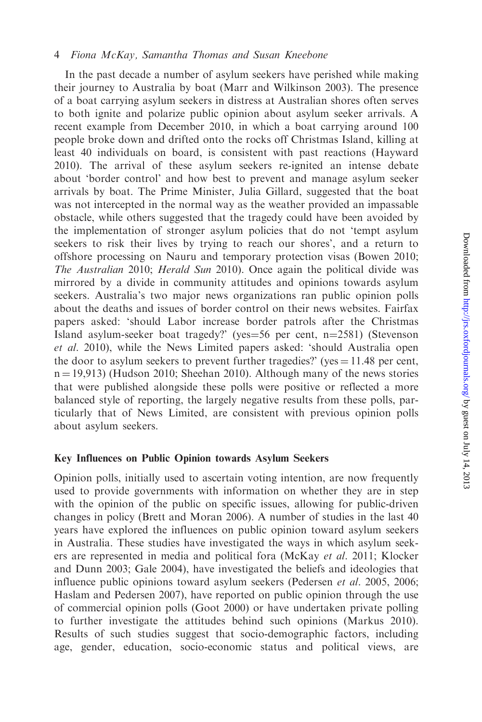In the past decade a number of asylum seekers have perished while making their journey to Australia by boat (Marr and Wilkinson 2003). The presence of a boat carrying asylum seekers in distress at Australian shores often serves to both ignite and polarize public opinion about asylum seeker arrivals. A recent example from December 2010, in which a boat carrying around 100 people broke down and drifted onto the rocks off Christmas Island, killing at least 40 individuals on board, is consistent with past reactions (Hayward 2010). The arrival of these asylum seekers re-ignited an intense debate about 'border control' and how best to prevent and manage asylum seeker arrivals by boat. The Prime Minister, Julia Gillard, suggested that the boat was not intercepted in the normal way as the weather provided an impassable obstacle, while others suggested that the tragedy could have been avoided by the implementation of stronger asylum policies that do not 'tempt asylum seekers to risk their lives by trying to reach our shores', and a return to offshore processing on Nauru and temporary protection visas (Bowen 2010; The Australian 2010; Herald Sun 2010). Once again the political divide was mirrored by a divide in community attitudes and opinions towards asylum seekers. Australia's two major news organizations ran public opinion polls about the deaths and issues of border control on their news websites. Fairfax papers asked: 'should Labor increase border patrols after the Christmas Island asylum-seeker boat tragedy?' (yes=56 per cent, n=2581) (Stevenson et al. 2010), while the News Limited papers asked: 'should Australia open the door to asylum seekers to prevent further tragedies?' (yes  $= 11.48$  per cent,  $n = 19,913$ ) (Hudson 2010; Sheehan 2010). Although many of the news stories that were published alongside these polls were positive or reflected a more balanced style of reporting, the largely negative results from these polls, particularly that of News Limited, are consistent with previous opinion polls about asylum seekers.

#### Key Influences on Public Opinion towards Asylum Seekers

Opinion polls, initially used to ascertain voting intention, are now frequently used to provide governments with information on whether they are in step with the opinion of the public on specific issues, allowing for public-driven changes in policy (Brett and Moran 2006). A number of studies in the last 40 years have explored the influences on public opinion toward asylum seekers in Australia. These studies have investigated the ways in which asylum seekers are represented in media and political fora (McKay et al. 2011; Klocker and Dunn 2003; Gale 2004), have investigated the beliefs and ideologies that influence public opinions toward asylum seekers (Pedersen et al. 2005, 2006; Haslam and Pedersen 2007), have reported on public opinion through the use of commercial opinion polls (Goot 2000) or have undertaken private polling to further investigate the attitudes behind such opinions (Markus 2010). Results of such studies suggest that socio-demographic factors, including age, gender, education, socio-economic status and political views, are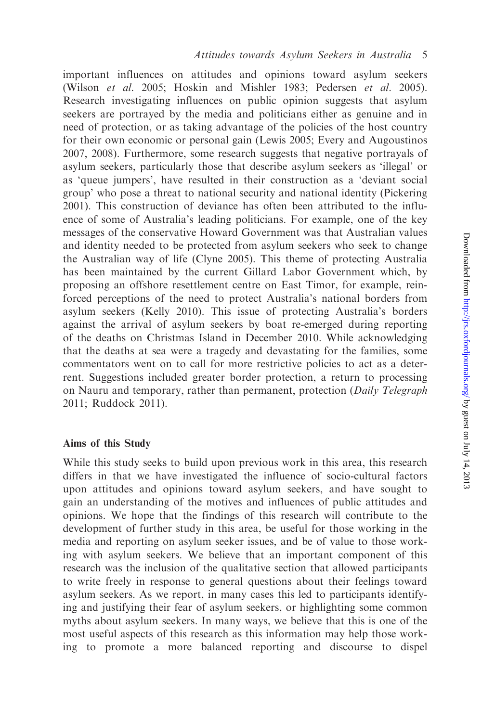important influences on attitudes and opinions toward asylum seekers (Wilson et al. 2005; Hoskin and Mishler 1983; Pedersen et al. 2005). Research investigating influences on public opinion suggests that asylum seekers are portrayed by the media and politicians either as genuine and in need of protection, or as taking advantage of the policies of the host country for their own economic or personal gain (Lewis 2005; Every and Augoustinos 2007, 2008). Furthermore, some research suggests that negative portrayals of asylum seekers, particularly those that describe asylum seekers as 'illegal' or as 'queue jumpers', have resulted in their construction as a 'deviant social group' who pose a threat to national security and national identity (Pickering 2001). This construction of deviance has often been attributed to the influence of some of Australia's leading politicians. For example, one of the key messages of the conservative Howard Government was that Australian values and identity needed to be protected from asylum seekers who seek to change the Australian way of life (Clyne 2005). This theme of protecting Australia has been maintained by the current Gillard Labor Government which, by proposing an offshore resettlement centre on East Timor, for example, reinforced perceptions of the need to protect Australia's national borders from asylum seekers (Kelly 2010). This issue of protecting Australia's borders against the arrival of asylum seekers by boat re-emerged during reporting of the deaths on Christmas Island in December 2010. While acknowledging that the deaths at sea were a tragedy and devastating for the families, some commentators went on to call for more restrictive policies to act as a deterrent. Suggestions included greater border protection, a return to processing on Nauru and temporary, rather than permanent, protection (Daily Telegraph 2011; Ruddock 2011).

#### Aims of this Study

While this study seeks to build upon previous work in this area, this research differs in that we have investigated the influence of socio-cultural factors upon attitudes and opinions toward asylum seekers, and have sought to gain an understanding of the motives and influences of public attitudes and opinions. We hope that the findings of this research will contribute to the development of further study in this area, be useful for those working in the media and reporting on asylum seeker issues, and be of value to those working with asylum seekers. We believe that an important component of this research was the inclusion of the qualitative section that allowed participants to write freely in response to general questions about their feelings toward asylum seekers. As we report, in many cases this led to participants identifying and justifying their fear of asylum seekers, or highlighting some common myths about asylum seekers. In many ways, we believe that this is one of the most useful aspects of this research as this information may help those working to promote a more balanced reporting and discourse to dispel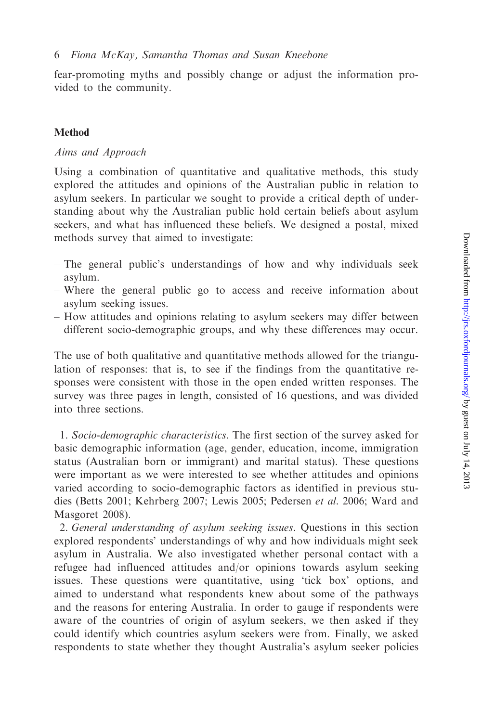fear-promoting myths and possibly change or adjust the information provided to the community.

#### **Method**

#### Aims and Approach

Using a combination of quantitative and qualitative methods, this study explored the attitudes and opinions of the Australian public in relation to asylum seekers. In particular we sought to provide a critical depth of understanding about why the Australian public hold certain beliefs about asylum seekers, and what has influenced these beliefs. We designed a postal, mixed methods survey that aimed to investigate:

- The general public's understandings of how and why individuals seek asylum.
- Where the general public go to access and receive information about asylum seeking issues.
- How attitudes and opinions relating to asylum seekers may differ between different socio-demographic groups, and why these differences may occur.

The use of both qualitative and quantitative methods allowed for the triangulation of responses: that is, to see if the findings from the quantitative responses were consistent with those in the open ended written responses. The survey was three pages in length, consisted of 16 questions, and was divided into three sections.

1. Socio-demographic characteristics. The first section of the survey asked for basic demographic information (age, gender, education, income, immigration status (Australian born or immigrant) and marital status). These questions were important as we were interested to see whether attitudes and opinions varied according to socio-demographic factors as identified in previous studies (Betts 2001; Kehrberg 2007; Lewis 2005; Pedersen et al. 2006; Ward and Masgoret 2008).

2. General understanding of asylum seeking issues. Questions in this section explored respondents' understandings of why and how individuals might seek asylum in Australia. We also investigated whether personal contact with a refugee had influenced attitudes and/or opinions towards asylum seeking issues. These questions were quantitative, using 'tick box' options, and aimed to understand what respondents knew about some of the pathways and the reasons for entering Australia. In order to gauge if respondents were aware of the countries of origin of asylum seekers, we then asked if they could identify which countries asylum seekers were from. Finally, we asked respondents to state whether they thought Australia's asylum seeker policies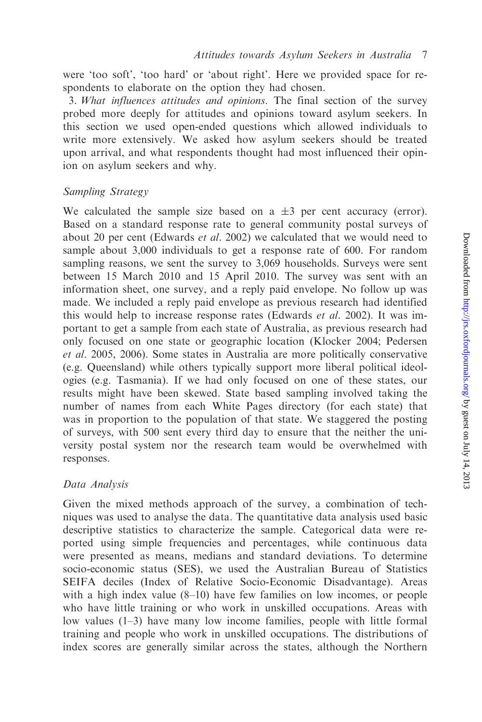were 'too soft', 'too hard' or 'about right'. Here we provided space for respondents to elaborate on the option they had chosen.

3. What influences attitudes and opinions. The final section of the survey probed more deeply for attitudes and opinions toward asylum seekers. In this section we used open-ended questions which allowed individuals to write more extensively. We asked how asylum seekers should be treated upon arrival, and what respondents thought had most influenced their opinion on asylum seekers and why.

# Sampling Strategy

We calculated the sample size based on a  $\pm 3$  per cent accuracy (error). Based on a standard response rate to general community postal surveys of about 20 per cent (Edwards et al. 2002) we calculated that we would need to sample about 3,000 individuals to get a response rate of 600. For random sampling reasons, we sent the survey to 3,069 households. Surveys were sent between 15 March 2010 and 15 April 2010. The survey was sent with an information sheet, one survey, and a reply paid envelope. No follow up was made. We included a reply paid envelope as previous research had identified this would help to increase response rates (Edwards et al. 2002). It was important to get a sample from each state of Australia, as previous research had only focused on one state or geographic location (Klocker 2004; Pedersen et al. 2005, 2006). Some states in Australia are more politically conservative (e.g. Queensland) while others typically support more liberal political ideologies (e.g. Tasmania). If we had only focused on one of these states, our results might have been skewed. State based sampling involved taking the number of names from each White Pages directory (for each state) that was in proportion to the population of that state. We staggered the posting of surveys, with 500 sent every third day to ensure that the neither the university postal system nor the research team would be overwhelmed with responses.

# Data Analysis

Given the mixed methods approach of the survey, a combination of techniques was used to analyse the data. The quantitative data analysis used basic descriptive statistics to characterize the sample. Categorical data were reported using simple frequencies and percentages, while continuous data were presented as means, medians and standard deviations. To determine socio-economic status (SES), we used the Australian Bureau of Statistics SEIFA deciles (Index of Relative Socio-Economic Disadvantage). Areas with a high index value (8–10) have few families on low incomes, or people who have little training or who work in unskilled occupations. Areas with low values (1–3) have many low income families, people with little formal training and people who work in unskilled occupations. The distributions of index scores are generally similar across the states, although the Northern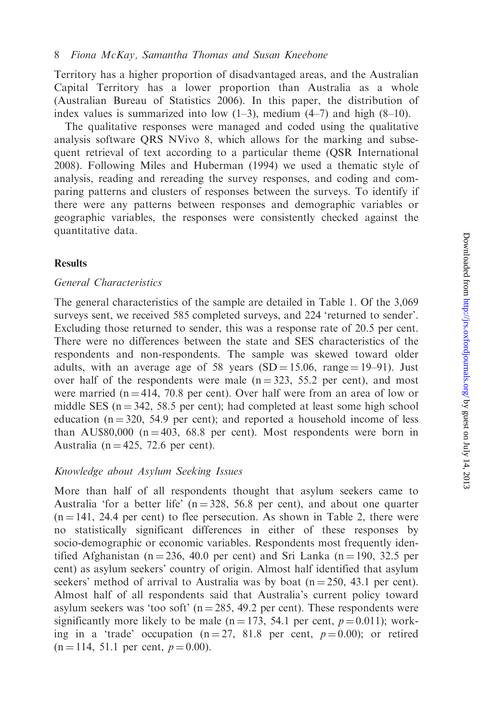Territory has a higher proportion of disadvantaged areas, and the Australian Capital Territory has a lower proportion than Australia as a whole (Australian Bureau of Statistics 2006). In this paper, the distribution of index values is summarized into low  $(1-3)$ , medium  $(4-7)$  and high  $(8-10)$ .

The qualitative responses were managed and coded using the qualitative analysis software QRS NVivo 8, which allows for the marking and subsequent retrieval of text according to a particular theme (QSR International 2008). Following Miles and Huberman (1994) we used a thematic style of analysis, reading and rereading the survey responses, and coding and comparing patterns and clusters of responses between the surveys. To identify if there were any patterns between responses and demographic variables or geographic variables, the responses were consistently checked against the quantitative data.

#### Results

### General Characteristics

The general characteristics of the sample are detailed in Table 1. Of the 3,069 surveys sent, we received 585 completed surveys, and 224 'returned to sender'. Excluding those returned to sender, this was a response rate of 20.5 per cent. There were no differences between the state and SES characteristics of the respondents and non-respondents. The sample was skewed toward older adults, with an average age of 58 years  $(SD = 15.06, \text{ range} = 19-91)$ . Just over half of the respondents were male  $(n = 323, 55.2 \text{ per cent})$ , and most were married ( $n = 414$ , 70.8 per cent). Over half were from an area of low or middle SES ( $n = 342, 58.5$  per cent); had completed at least some high school education ( $n = 320$ , 54.9 per cent); and reported a household income of less than AU\$80,000 ( $n = 403$ , 68.8 per cent). Most respondents were born in Australia ( $n = 425$ , 72.6 per cent).

#### Knowledge about Asylum Seeking Issues

More than half of all respondents thought that asylum seekers came to Australia 'for a better life'  $(n = 328, 56.8 \text{ per cent})$ , and about one quarter  $(n = 141, 24.4$  per cent) to flee persecution. As shown in Table 2, there were no statistically significant differences in either of these responses by socio-demographic or economic variables. Respondents most frequently identified Afghanistan (n = 236, 40.0 per cent) and Sri Lanka (n = 190, 32.5 per cent) as asylum seekers' country of origin. Almost half identified that asylum seekers' method of arrival to Australia was by boat ( $n = 250$ , 43.1 per cent). Almost half of all respondents said that Australia's current policy toward asylum seekers was 'too soft' ( $n = 285$ , 49.2 per cent). These respondents were significantly more likely to be male (n = 173, 54.1 per cent,  $p = 0.011$ ); working in a 'trade' occupation (n = 27, 81.8 per cent,  $p = 0.00$ ); or retired  $(n = 114, 51.1$  per cent,  $p = 0.00$ ).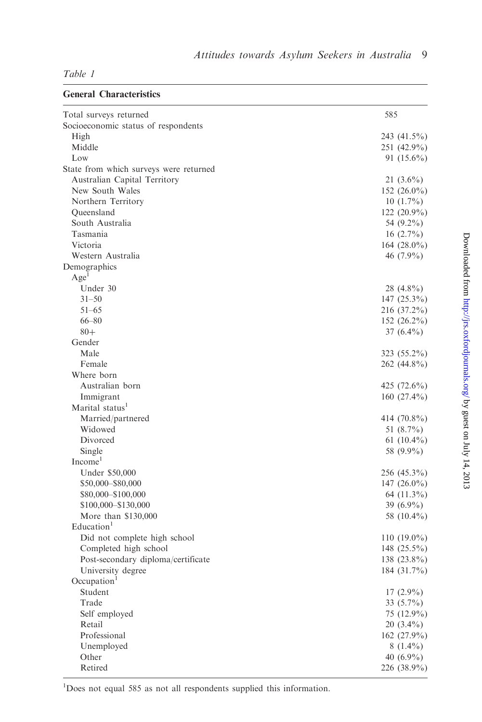| ×.<br>۰,<br>۰,<br>۰.<br>×<br>×<br>i |  |
|-------------------------------------|--|
|-------------------------------------|--|

| <b>General Characteristics</b>         |                |
|----------------------------------------|----------------|
| Total surveys returned                 | 585            |
| Socioeconomic status of respondents    |                |
| High                                   | 243 (41.5%)    |
| Middle                                 | 251 (42.9%)    |
| Low                                    | 91 $(15.6\%)$  |
| State from which surveys were returned |                |
| Australian Capital Territory           | $21(3.6\%)$    |
| New South Wales                        | 152 $(26.0\%)$ |
| Northern Territory                     | $10(1.7\%)$    |
| Queensland                             | 122 $(20.9\%)$ |
| South Australia                        | 54 (9.2%)      |
| Tasmania                               | $16(2.7\%)$    |
| Victoria                               | 164 $(28.0\%)$ |
| Western Australia                      | 46 $(7.9\%)$   |
| Demographics                           |                |
| Age <sup>1</sup>                       |                |
| Under 30                               | $28(4.8\%)$    |
| $31 - 50$                              | $147(25.3\%)$  |
| $51 - 65$                              | 216 (37.2%)    |
| $66 - 80$                              | 152 $(26.2\%)$ |
| $80+$                                  | $37(6.4\%)$    |
| Gender                                 |                |
| Male                                   | 323 (55.2%)    |
| Female                                 | 262 (44.8%)    |
| Where born                             |                |
| Australian born                        | 425 (72.6%)    |
| Immigrant                              | 160 $(27.4\%)$ |
| Marital status <sup>1</sup>            |                |
| Married/partnered                      | 414 (70.8%)    |
| Widowed                                | 51 $(8.7\%)$   |
| Divorced                               | 61 $(10.4\%)$  |
| Single                                 | 58 (9.9%)      |
| Income <sup>1</sup>                    |                |
| Under \$50,000                         | 256 (45.3%)    |
| \$50,000-\$80,000                      | 147 $(26.0\%)$ |
| \$80,000-\$100,000                     | 64 $(11.3\%)$  |
| \$100,000-\$130,000                    | $39(6.9\%)$    |
| More than \$130,000                    | 58 (10.4%)     |
| Education <sup>1</sup>                 |                |
| Did not complete high school           | $110(19.0\%)$  |
| Completed high school                  | 148 $(25.5\%)$ |
| Post-secondary diploma/certificate     | 138 (23.8%)    |
| University degree                      | 184 (31.7%)    |
| Occupation <sup>1</sup>                |                |
| Student                                | $17(2.9\%)$    |
| Trade                                  | 33 $(5.7\%)$   |
| Self employed                          | 75 (12.9%)     |
| Retail                                 | $20(3.4\%)$    |
| Professional                           | 162 (27.9%)    |
| Unemployed                             | $8(1.4\%)$     |
| Other                                  | 40 $(6.9\%)$   |
| Retired                                | 226 (38.9%)    |

<sup>1</sup>Does not equal 585 as not all respondents supplied this information.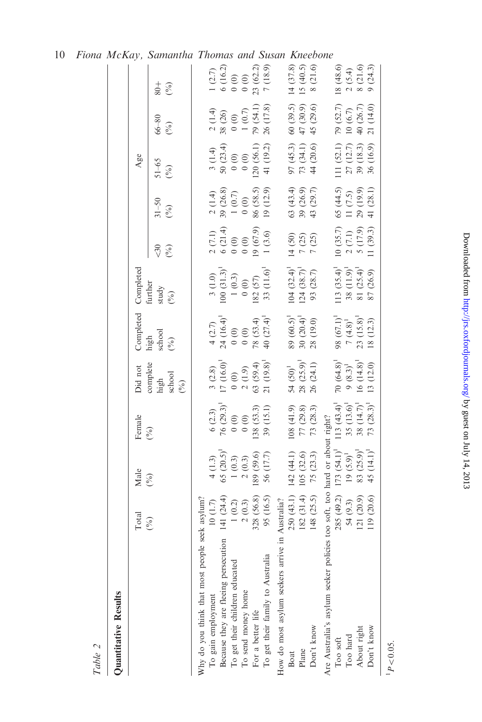| Quantitative Results                                                      |                                                   |                                                  |                                           |                                                           |                    |                                                  |                                           |                                                          |                                                           |                                                 |                                               |
|---------------------------------------------------------------------------|---------------------------------------------------|--------------------------------------------------|-------------------------------------------|-----------------------------------------------------------|--------------------|--------------------------------------------------|-------------------------------------------|----------------------------------------------------------|-----------------------------------------------------------|-------------------------------------------------|-----------------------------------------------|
|                                                                           | Total                                             | Male                                             | Female                                    | Did not                                                   | Completed          | Completed                                        |                                           |                                                          | Age                                                       |                                                 |                                               |
|                                                                           | (° <sub>0</sub> )                                 | (° <sub>0</sub> )                                | (9/6)                                     | complete<br>school<br>high<br>$($ % $)$                   | high               | further<br>study<br>$(%)$                        | (° <sub>0</sub> )<br>$\sqrt{30}$          | $31 - 50$<br>(%)                                         | $51 - 65$<br>(%)                                          | $66 - 80$<br>(° <sub>0</sub> )                  | $\frac{+}{80}$<br>$(\%)$                      |
| Why do you think that most people seek asylum?                            |                                                   |                                                  |                                           |                                                           |                    |                                                  |                                           |                                                          |                                                           |                                                 |                                               |
| To gain employment                                                        | 10(1.7)                                           | 4(1.3)                                           | 6(2.3)                                    |                                                           | 4(2.7)             | 3(1.0)                                           |                                           | 2(1.4)                                                   | 3(1.4)                                                    | 2(1.4)                                          |                                               |
| Because they are fleeing persecution                                      | 141(24.4)                                         | 65 (20.5)                                        | 76 $(29.3)^1$                             | $\begin{array}{c} 3 \ (2.8) \\ 17 \ (16.0)^1 \end{array}$ | $24(16.4)^1$       | $100(31.3)^{1}$                                  | $2(7.1)$<br>6(21.4)                       | 39 (26.8)                                                |                                                           | 38 (26)                                         |                                               |
| To get their children educated                                            |                                                   |                                                  |                                           |                                                           | $0\;\, (0)$        |                                                  |                                           |                                                          | $50(23.4)$<br>0 (0)<br>0 (0)                              |                                                 | $1 (2.7)$<br>$6 (16.2)$<br>$0 (0)$<br>$0 (0)$ |
| To send money home                                                        | $\begin{array}{c} 1 (0.2) \\ 2 (0.3) \end{array}$ | $(0.3)$<br>2 $(0.3)$<br>$\overline{\mathcal{C}}$ | $\begin{matrix} 0 \\ 0 \\ 0 \end{matrix}$ | $\begin{array}{c} 0 & (0) \\ 2 & (1.9) \end{array}$       | $\overline{0}$ (0) | $\begin{array}{c} 1 \ 0.3) \\ 0 \ 0 \end{array}$ | $\begin{matrix} 0 \\ 0 \\ 0 \end{matrix}$ |                                                          |                                                           | $\begin{array}{c} 0 & 0 \\ 1 & 0.7 \end{array}$ |                                               |
| For a better life                                                         | 328 (56.8)                                        | 189 (59.6)                                       | 138(53.3)                                 | 63(59.4)                                                  | 78 (53.4)          | 182 (57)                                         | 19(67.9)                                  | 86 (58.5)                                                | (20(56.1))                                                | 79 (54.1)                                       | 23(62.2)                                      |
| To get their family to Australia                                          | 95 (16.5)                                         | 56 (17.7)                                        | 39 (15.1)                                 | 21 (19.8)                                                 | 40 $(27.4)^1$      | 33 (11.6)                                        | 1(3.6)                                    | 19(12.9)                                                 | 41 (19.2)                                                 | 26 (17.8)                                       | 7(18.9)                                       |
| How do most asylum seekers arrive                                         | in Australia?                                     |                                                  |                                           |                                                           |                    |                                                  |                                           |                                                          |                                                           |                                                 |                                               |
| <b>Boat</b>                                                               | 250(43.1)                                         | 142 (44.1)                                       | 108(41.9)                                 |                                                           | 89(60.5)           | 104(32.4)                                        | 14 (50)                                   |                                                          | 97 (45.3)                                                 | 60 (39.5)                                       | 14 (37.8)                                     |
| Plane                                                                     | 182(31.4)                                         | 105(32.6)                                        | 77 (29.8)                                 | $54 (50)^1$<br>28 $(25.9)^1$                              | 30 $(20.4)^1$      | $124(38.7)^1$                                    | 7(25)                                     | 63 (43.4)<br>39 (26.9)                                   | 73 (34.1)                                                 | 47 (30.9)                                       | 15(40.5)                                      |
| Don't know                                                                | 148 (25.5)                                        | 75(23.3)                                         | 73 (28.3)                                 | 26(24.1)                                                  | 28 (19.0)          | 93 (28.7)                                        | 7(25)                                     | 43 (29.7)                                                | 44 (20.6)                                                 | 45 (29.6)                                       | 8(21.6)                                       |
| Are Australia's asylum seeker policies too soft, too hard or about right? |                                                   |                                                  |                                           |                                                           |                    |                                                  |                                           |                                                          |                                                           |                                                 |                                               |
| Too soft                                                                  | 285 (49.2)                                        | $173(54.1)^1$                                    | $113(43.4)^{1}$                           | $70(64.8)^1$                                              | $98(67.1)^1$       |                                                  | 10(35.7)                                  | 65 (44.5)                                                | 111(52.1)                                                 | 79 (52.7)                                       | 18 (48.6)                                     |
| Too hard                                                                  | 54(9.3)                                           | 19(5.9)                                          | $35 (13.6)^1$                             | $9(8.3)^1$                                                | $7(4.8)^1$         | 113 $(35.4)^1$<br>38 $(11.9)^1$<br>81 $(25.4)^1$ | 2(7.1)                                    |                                                          | $\begin{array}{c} 27 \ (12.7) \\ 39 \ (18.3) \end{array}$ | 10(6.7)                                         | $2(5.4)$<br>8(21.6)                           |
| About right                                                               | 121 (20.9)                                        | 83 (25.9) <sup>1</sup>                           | 38 $(14.7)^1$                             | $16(14.8)^{1}$                                            | $23 (15.8)^1$      |                                                  | 5 (17.9)                                  | $\begin{array}{c} 11 \ (7.5) \\ 29 \ (19.9) \end{array}$ |                                                           | 40 (26.7)                                       |                                               |
| Don't know                                                                | 119 (20.6)                                        | $(14.1)^1$<br>$45 \,$                            | $73 (28.3)^1$                             | 13 (12.0)                                                 | 18(12.3)           | 87 (26.9)                                        | 11(39.3)                                  | 41 $(28.1)$                                              | 36 (16.9)                                                 | 21(14.0)                                        | 9(24.3)                                       |
|                                                                           |                                                   |                                                  |                                           |                                                           |                    |                                                  |                                           |                                                          |                                                           |                                                 |                                               |

Table 2

Downloaded from http://jrs.oxfordjournals.org/ by guest on July 14, 2013  $Down$ loaded from <http://jrs.oxfordjournals.org/> by guest on July 14, 2013

 $1P<0.05$ .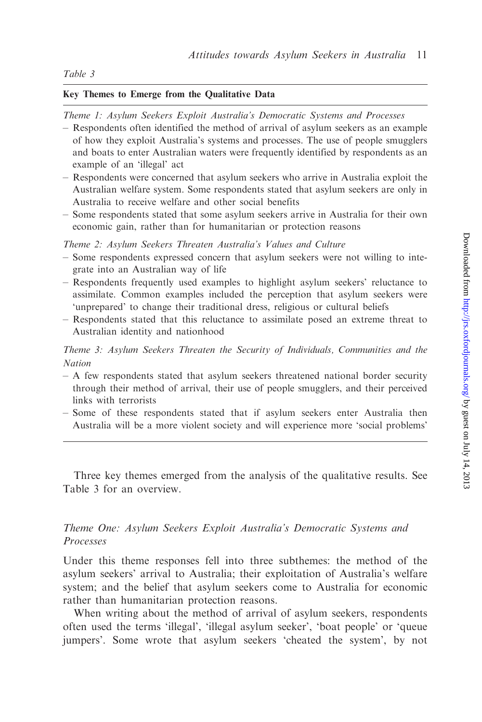Table 3

#### Key Themes to Emerge from the Qualitative Data

Theme 1: Asylum Seekers Exploit Australia's Democratic Systems and Processes

- Respondents often identified the method of arrival of asylum seekers as an example of how they exploit Australia's systems and processes. The use of people smugglers and boats to enter Australian waters were frequently identified by respondents as an example of an 'illegal' act
- Respondents were concerned that asylum seekers who arrive in Australia exploit the Australian welfare system. Some respondents stated that asylum seekers are only in Australia to receive welfare and other social benefits
- Some respondents stated that some asylum seekers arrive in Australia for their own economic gain, rather than for humanitarian or protection reasons

Theme 2: Asylum Seekers Threaten Australia's Values and Culture

- Some respondents expressed concern that asylum seekers were not willing to integrate into an Australian way of life
- Respondents frequently used examples to highlight asylum seekers' reluctance to assimilate. Common examples included the perception that asylum seekers were 'unprepared' to change their traditional dress, religious or cultural beliefs
- Respondents stated that this reluctance to assimilate posed an extreme threat to Australian identity and nationhood

Theme 3: Asylum Seekers Threaten the Security of Individuals, Communities and the Nation

- A few respondents stated that asylum seekers threatened national border security through their method of arrival, their use of people smugglers, and their perceived links with terrorists
- Some of these respondents stated that if asylum seekers enter Australia then Australia will be a more violent society and will experience more 'social problems'

Three key themes emerged from the analysis of the qualitative results. See Table 3 for an overview.

# Theme One: Asylum Seekers Exploit Australia's Democratic Systems and Processes

Under this theme responses fell into three subthemes: the method of the asylum seekers' arrival to Australia; their exploitation of Australia's welfare system; and the belief that asylum seekers come to Australia for economic rather than humanitarian protection reasons.

When writing about the method of arrival of asylum seekers, respondents often used the terms 'illegal', 'illegal asylum seeker', 'boat people' or 'queue jumpers'. Some wrote that asylum seekers 'cheated the system', by not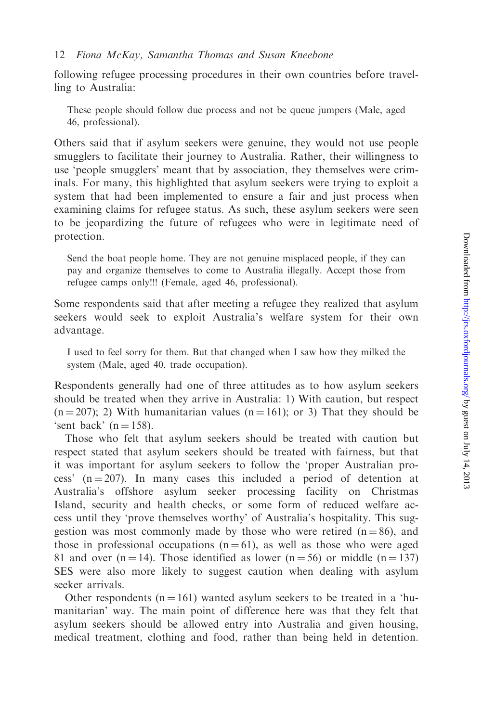following refugee processing procedures in their own countries before travelling to Australia:

These people should follow due process and not be queue jumpers (Male, aged 46, professional).

Others said that if asylum seekers were genuine, they would not use people smugglers to facilitate their journey to Australia. Rather, their willingness to use 'people smugglers' meant that by association, they themselves were criminals. For many, this highlighted that asylum seekers were trying to exploit a system that had been implemented to ensure a fair and just process when examining claims for refugee status. As such, these asylum seekers were seen to be jeopardizing the future of refugees who were in legitimate need of protection.

Send the boat people home. They are not genuine misplaced people, if they can pay and organize themselves to come to Australia illegally. Accept those from refugee camps only!!! (Female, aged 46, professional).

Some respondents said that after meeting a refugee they realized that asylum seekers would seek to exploit Australia's welfare system for their own advantage.

I used to feel sorry for them. But that changed when I saw how they milked the system (Male, aged 40, trade occupation).

Respondents generally had one of three attitudes as to how asylum seekers should be treated when they arrive in Australia: 1) With caution, but respect  $(n = 207)$ ; 2) With humanitarian values  $(n = 161)$ ; or 3) That they should be 'sent back'  $(n = 158)$ .

Those who felt that asylum seekers should be treated with caution but respect stated that asylum seekers should be treated with fairness, but that it was important for asylum seekers to follow the 'proper Australian process'  $(n = 207)$ . In many cases this included a period of detention at Australia's offshore asylum seeker processing facility on Christmas Island, security and health checks, or some form of reduced welfare access until they 'prove themselves worthy' of Australia's hospitality. This suggestion was most commonly made by those who were retired  $(n = 86)$ , and those in professional occupations  $(n = 61)$ , as well as those who were aged 81 and over (n = 14). Those identified as lower (n = 56) or middle (n = 137) SES were also more likely to suggest caution when dealing with asylum seeker arrivals.

Other respondents ( $n = 161$ ) wanted asylum seekers to be treated in a 'humanitarian' way. The main point of difference here was that they felt that asylum seekers should be allowed entry into Australia and given housing, medical treatment, clothing and food, rather than being held in detention.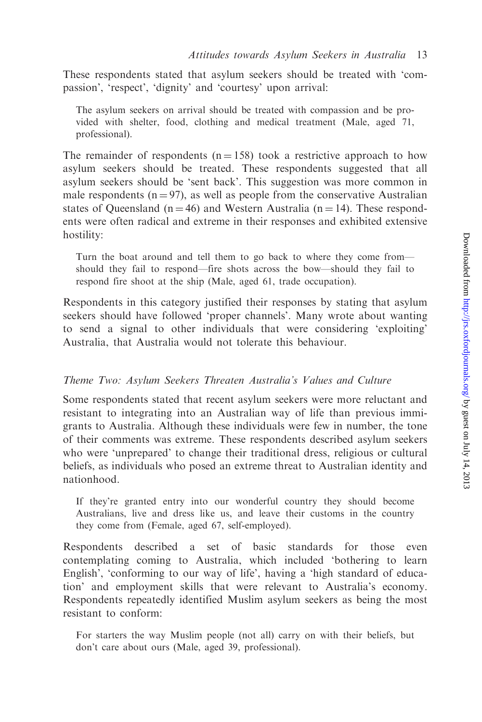These respondents stated that asylum seekers should be treated with 'compassion', 'respect', 'dignity' and 'courtesy' upon arrival:

The asylum seekers on arrival should be treated with compassion and be provided with shelter, food, clothing and medical treatment (Male, aged 71, professional).

The remainder of respondents  $(n = 158)$  took a restrictive approach to how asylum seekers should be treated. These respondents suggested that all asylum seekers should be 'sent back'. This suggestion was more common in male respondents  $(n = 97)$ , as well as people from the conservative Australian states of Queensland ( $n = 46$ ) and Western Australia ( $n = 14$ ). These respondents were often radical and extreme in their responses and exhibited extensive hostility:

Turn the boat around and tell them to go back to where they come from should they fail to respond—fire shots across the bow—should they fail to respond fire shoot at the ship (Male, aged 61, trade occupation).

Respondents in this category justified their responses by stating that asylum seekers should have followed 'proper channels'. Many wrote about wanting to send a signal to other individuals that were considering 'exploiting' Australia, that Australia would not tolerate this behaviour.

# Theme Two: Asylum Seekers Threaten Australia's Values and Culture

Some respondents stated that recent asylum seekers were more reluctant and resistant to integrating into an Australian way of life than previous immigrants to Australia. Although these individuals were few in number, the tone of their comments was extreme. These respondents described asylum seekers who were 'unprepared' to change their traditional dress, religious or cultural beliefs, as individuals who posed an extreme threat to Australian identity and nationhood.

If they're granted entry into our wonderful country they should become Australians, live and dress like us, and leave their customs in the country they come from (Female, aged 67, self-employed).

Respondents described a set of basic standards for those even contemplating coming to Australia, which included 'bothering to learn English', 'conforming to our way of life', having a 'high standard of education' and employment skills that were relevant to Australia's economy. Respondents repeatedly identified Muslim asylum seekers as being the most resistant to conform:

For starters the way Muslim people (not all) carry on with their beliefs, but don't care about ours (Male, aged 39, professional).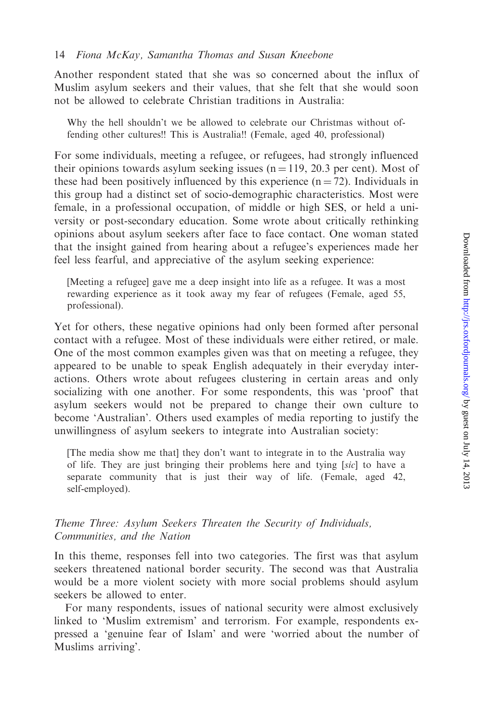Another respondent stated that she was so concerned about the influx of Muslim asylum seekers and their values, that she felt that she would soon not be allowed to celebrate Christian traditions in Australia:

Why the hell shouldn't we be allowed to celebrate our Christmas without offending other cultures!! This is Australia!! (Female, aged 40, professional)

For some individuals, meeting a refugee, or refugees, had strongly influenced their opinions towards asylum seeking issues ( $n = 119$ , 20.3 per cent). Most of these had been positively influenced by this experience  $(n = 72)$ . Individuals in this group had a distinct set of socio-demographic characteristics. Most were female, in a professional occupation, of middle or high SES, or held a university or post-secondary education. Some wrote about critically rethinking opinions about asylum seekers after face to face contact. One woman stated that the insight gained from hearing about a refugee's experiences made her feel less fearful, and appreciative of the asylum seeking experience:

[Meeting a refugee] gave me a deep insight into life as a refugee. It was a most rewarding experience as it took away my fear of refugees (Female, aged 55, professional).

Yet for others, these negative opinions had only been formed after personal contact with a refugee. Most of these individuals were either retired, or male. One of the most common examples given was that on meeting a refugee, they appeared to be unable to speak English adequately in their everyday interactions. Others wrote about refugees clustering in certain areas and only socializing with one another. For some respondents, this was 'proof' that asylum seekers would not be prepared to change their own culture to become 'Australian'. Others used examples of media reporting to justify the unwillingness of asylum seekers to integrate into Australian society:

[The media show me that] they don't want to integrate in to the Australia way of life. They are just bringing their problems here and tying [sic] to have a separate community that is just their way of life. (Female, aged 42, self-employed).

# Theme Three: Asylum Seekers Threaten the Security of Individuals, Communities, and the Nation

In this theme, responses fell into two categories. The first was that asylum seekers threatened national border security. The second was that Australia would be a more violent society with more social problems should asylum seekers be allowed to enter.

For many respondents, issues of national security were almost exclusively linked to 'Muslim extremism' and terrorism. For example, respondents expressed a 'genuine fear of Islam' and were 'worried about the number of Muslims arriving'.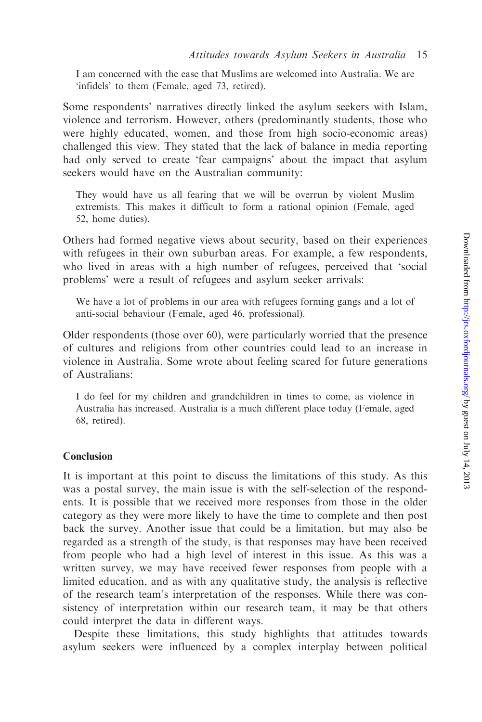I am concerned with the ease that Muslims are welcomed into Australia. We are 'infidels' to them (Female, aged 73, retired).

Some respondents' narratives directly linked the asylum seekers with Islam, violence and terrorism. However, others (predominantly students, those who were highly educated, women, and those from high socio-economic areas) challenged this view. They stated that the lack of balance in media reporting had only served to create 'fear campaigns' about the impact that asylum seekers would have on the Australian community:

They would have us all fearing that we will be overrun by violent Muslim extremists. This makes it difficult to form a rational opinion (Female, aged 52, home duties).

Others had formed negative views about security, based on their experiences with refugees in their own suburban areas. For example, a few respondents, who lived in areas with a high number of refugees, perceived that 'social problems' were a result of refugees and asylum seeker arrivals:

We have a lot of problems in our area with refugees forming gangs and a lot of anti-social behaviour (Female, aged 46, professional).

Older respondents (those over 60), were particularly worried that the presence of cultures and religions from other countries could lead to an increase in violence in Australia. Some wrote about feeling scared for future generations of Australians:

I do feel for my children and grandchildren in times to come, as violence in Australia has increased. Australia is a much different place today (Female, aged 68, retired).

#### **Conclusion**

It is important at this point to discuss the limitations of this study. As this was a postal survey, the main issue is with the self-selection of the respondents. It is possible that we received more responses from those in the older category as they were more likely to have the time to complete and then post back the survey. Another issue that could be a limitation, but may also be regarded as a strength of the study, is that responses may have been received from people who had a high level of interest in this issue. As this was a written survey, we may have received fewer responses from people with a limited education, and as with any qualitative study, the analysis is reflective of the research team's interpretation of the responses. While there was consistency of interpretation within our research team, it may be that others could interpret the data in different ways.

Despite these limitations, this study highlights that attitudes towards asylum seekers were influenced by a complex interplay between political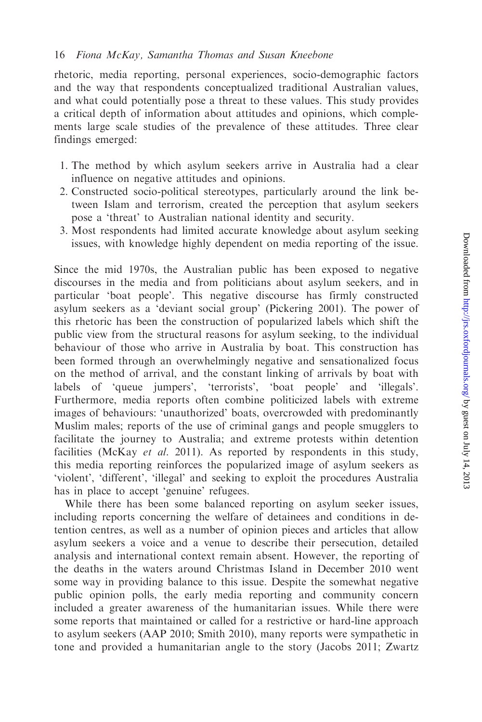rhetoric, media reporting, personal experiences, socio-demographic factors and the way that respondents conceptualized traditional Australian values, and what could potentially pose a threat to these values. This study provides a critical depth of information about attitudes and opinions, which complements large scale studies of the prevalence of these attitudes. Three clear findings emerged:

- 1. The method by which asylum seekers arrive in Australia had a clear influence on negative attitudes and opinions.
- 2. Constructed socio-political stereotypes, particularly around the link between Islam and terrorism, created the perception that asylum seekers pose a 'threat' to Australian national identity and security.
- 3. Most respondents had limited accurate knowledge about asylum seeking issues, with knowledge highly dependent on media reporting of the issue.

Since the mid 1970s, the Australian public has been exposed to negative discourses in the media and from politicians about asylum seekers, and in particular 'boat people'. This negative discourse has firmly constructed asylum seekers as a 'deviant social group' (Pickering 2001). The power of this rhetoric has been the construction of popularized labels which shift the public view from the structural reasons for asylum seeking, to the individual behaviour of those who arrive in Australia by boat. This construction has been formed through an overwhelmingly negative and sensationalized focus on the method of arrival, and the constant linking of arrivals by boat with labels of 'queue jumpers', 'terrorists', 'boat people' and 'illegals'. Furthermore, media reports often combine politicized labels with extreme images of behaviours: 'unauthorized' boats, overcrowded with predominantly Muslim males; reports of the use of criminal gangs and people smugglers to facilitate the journey to Australia; and extreme protests within detention facilities (McKay et al. 2011). As reported by respondents in this study, this media reporting reinforces the popularized image of asylum seekers as 'violent', 'different', 'illegal' and seeking to exploit the procedures Australia has in place to accept 'genuine' refugees.

While there has been some balanced reporting on asylum seeker issues, including reports concerning the welfare of detainees and conditions in detention centres, as well as a number of opinion pieces and articles that allow asylum seekers a voice and a venue to describe their persecution, detailed analysis and international context remain absent. However, the reporting of the deaths in the waters around Christmas Island in December 2010 went some way in providing balance to this issue. Despite the somewhat negative public opinion polls, the early media reporting and community concern included a greater awareness of the humanitarian issues. While there were some reports that maintained or called for a restrictive or hard-line approach to asylum seekers (AAP 2010; Smith 2010), many reports were sympathetic in tone and provided a humanitarian angle to the story (Jacobs 2011; Zwartz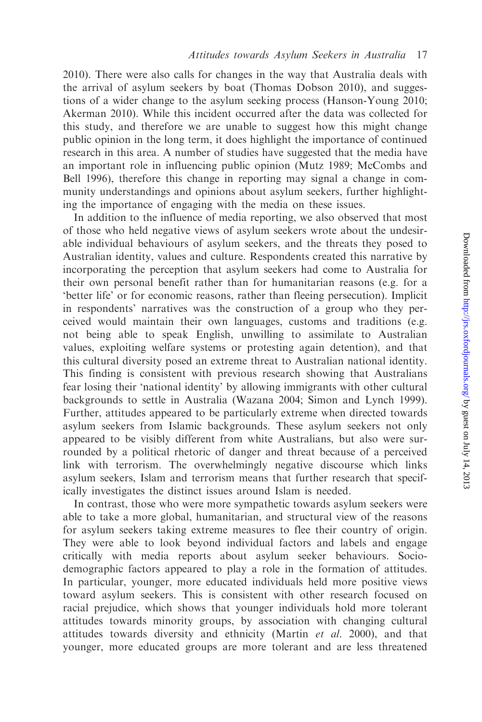2010). There were also calls for changes in the way that Australia deals with the arrival of asylum seekers by boat (Thomas Dobson 2010), and suggestions of a wider change to the asylum seeking process (Hanson-Young 2010; Akerman 2010). While this incident occurred after the data was collected for this study, and therefore we are unable to suggest how this might change public opinion in the long term, it does highlight the importance of continued research in this area. A number of studies have suggested that the media have an important role in influencing public opinion (Mutz 1989; McCombs and Bell 1996), therefore this change in reporting may signal a change in community understandings and opinions about asylum seekers, further highlighting the importance of engaging with the media on these issues.

In addition to the influence of media reporting, we also observed that most of those who held negative views of asylum seekers wrote about the undesirable individual behaviours of asylum seekers, and the threats they posed to Australian identity, values and culture. Respondents created this narrative by incorporating the perception that asylum seekers had come to Australia for their own personal benefit rather than for humanitarian reasons (e.g. for a 'better life' or for economic reasons, rather than fleeing persecution). Implicit in respondents' narratives was the construction of a group who they perceived would maintain their own languages, customs and traditions (e.g. not being able to speak English, unwilling to assimilate to Australian values, exploiting welfare systems or protesting again detention), and that this cultural diversity posed an extreme threat to Australian national identity. This finding is consistent with previous research showing that Australians fear losing their 'national identity' by allowing immigrants with other cultural backgrounds to settle in Australia (Wazana 2004; Simon and Lynch 1999). Further, attitudes appeared to be particularly extreme when directed towards asylum seekers from Islamic backgrounds. These asylum seekers not only appeared to be visibly different from white Australians, but also were surrounded by a political rhetoric of danger and threat because of a perceived link with terrorism. The overwhelmingly negative discourse which links asylum seekers, Islam and terrorism means that further research that specifically investigates the distinct issues around Islam is needed.

In contrast, those who were more sympathetic towards asylum seekers were able to take a more global, humanitarian, and structural view of the reasons for asylum seekers taking extreme measures to flee their country of origin. They were able to look beyond individual factors and labels and engage critically with media reports about asylum seeker behaviours. Sociodemographic factors appeared to play a role in the formation of attitudes. In particular, younger, more educated individuals held more positive views toward asylum seekers. This is consistent with other research focused on racial prejudice, which shows that younger individuals hold more tolerant attitudes towards minority groups, by association with changing cultural attitudes towards diversity and ethnicity (Martin et al. 2000), and that younger, more educated groups are more tolerant and are less threatened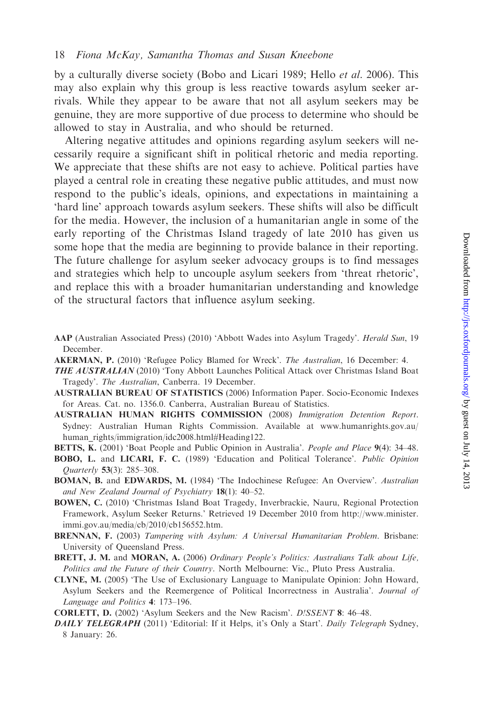by a culturally diverse society (Bobo and Licari 1989; Hello et al. 2006). This may also explain why this group is less reactive towards asylum seeker arrivals. While they appear to be aware that not all asylum seekers may be genuine, they are more supportive of due process to determine who should be allowed to stay in Australia, and who should be returned.

Altering negative attitudes and opinions regarding asylum seekers will necessarily require a significant shift in political rhetoric and media reporting. We appreciate that these shifts are not easy to achieve. Political parties have played a central role in creating these negative public attitudes, and must now respond to the public's ideals, opinions, and expectations in maintaining a 'hard line' approach towards asylum seekers. These shifts will also be difficult for the media. However, the inclusion of a humanitarian angle in some of the early reporting of the Christmas Island tragedy of late 2010 has given us some hope that the media are beginning to provide balance in their reporting. The future challenge for asylum seeker advocacy groups is to find messages and strategies which help to uncouple asylum seekers from 'threat rhetoric', and replace this with a broader humanitarian understanding and knowledge of the structural factors that influence asylum seeking.

- AAP (Australian Associated Press) (2010) 'Abbott Wades into Asylum Tragedy'. Herald Sun, 19 December.
- AKERMAN, P. (2010) 'Refugee Policy Blamed for Wreck'. The Australian, 16 December: 4.
- THE AUSTRALIAN (2010) 'Tony Abbott Launches Political Attack over Christmas Island Boat Tragedy'. The Australian, Canberra. 19 December.
- AUSTRALIAN BUREAU OF STATISTICS (2006) Information Paper. Socio-Economic Indexes for Areas. Cat. no. 1356.0. Canberra, Australian Bureau of Statistics.
- AUSTRALIAN HUMAN RIGHTS COMMISSION (2008) Immigration Detention Report. Sydney: Australian Human Rights Commission. Available at www.humanrights.gov.au/ human\_rights/immigration/idc2008.html#Heading122.
- BETTS, K. (2001) 'Boat People and Public Opinion in Australia'. People and Place 9(4): 34–48.
- BOBO, L. and LICARI, F. C. (1989) 'Education and Political Tolerance'. Public Opinion Quarterly 53(3): 285–308.
- BOMAN, B. and EDWARDS, M. (1984) 'The Indochinese Refugee: An Overview'. Australian and New Zealand Journal of Psychiatry 18(1): 40–52.
- BOWEN, C. (2010) 'Christmas Island Boat Tragedy, Inverbrackie, Nauru, Regional Protection Framework, Asylum Seeker Returns.' Retrieved 19 December 2010 from http://www.minister. immi.gov.au/media/cb/2010/cb156552.htm.
- BRENNAN, F. (2003) Tampering with Asylum: A Universal Humanitarian Problem. Brisbane: University of Queensland Press.
- BRETT, J. M. and MORAN, A. (2006) Ordinary People's Politics: Australians Talk about Life, Politics and the Future of their Country. North Melbourne: Vic., Pluto Press Australia.
- CLYNE, M. (2005) 'The Use of Exclusionary Language to Manipulate Opinion: John Howard, Asylum Seekers and the Reemergence of Political Incorrectness in Australia'. Journal of Language and Politics 4: 173–196.
- CORLETT, D. (2002) 'Asylum Seekers and the New Racism'. D!SSENT 8: 46–48.
- DAILY TELEGRAPH (2011) 'Editorial: If it Helps, it's Only a Start'. Daily Telegraph Sydney, 8 January: 26.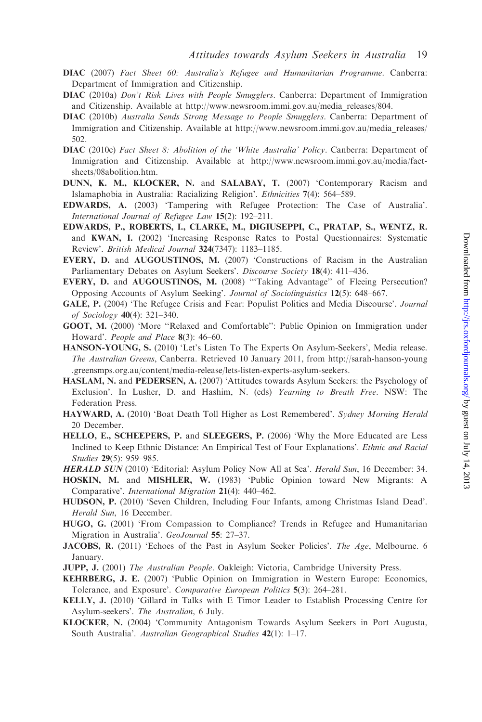- DIAC (2007) Fact Sheet 60: Australia's Refugee and Humanitarian Programme. Canberra: Department of Immigration and Citizenship.
- DIAC (2010a) Don't Risk Lives with People Smugglers. Canberra: Department of Immigration and Citizenship. Available at http://www.newsroom.immi.gov.au/media\_releases/804.
- DIAC (2010b) Australia Sends Strong Message to People Smugglers. Canberra: Department of Immigration and Citizenship. Available at http://www.newsroom.immi.gov.au/media\_releases/ 502.
- DIAC (2010c) Fact Sheet 8: Abolition of the 'White Australia' Policy. Canberra: Department of Immigration and Citizenship. Available at http://www.newsroom.immi.gov.au/media/factsheets/08abolition.htm.
- DUNN, K. M., KLOCKER, N. and SALABAY, T. (2007) 'Contemporary Racism and Islamaphobia in Australia: Racializing Religion'. Ethnicities 7(4): 564–589.
- EDWARDS, A. (2003) 'Tampering with Refugee Protection: The Case of Australia'. International Journal of Refugee Law 15(2): 192-211.
- EDWARDS, P., ROBERTS, I., CLARKE, M., DIGIUSEPPI, C., PRATAP, S., WENTZ, R. and KWAN, I. (2002) 'Increasing Response Rates to Postal Questionnaires: Systematic Review'. British Medical Journal 324(7347): 1183–1185.
- EVERY, D. and AUGOUSTINOS, M. (2007) 'Constructions of Racism in the Australian Parliamentary Debates on Asylum Seekers'. Discourse Society 18(4): 411–436.
- EVERY, D. and AUGOUSTINOS, M. (2008) '''Taking Advantage'' of Fleeing Persecution? Opposing Accounts of Asylum Seeking'. Journal of Sociolinguistics 12(5): 648–667.
- GALE, P. (2004) 'The Refugee Crisis and Fear: Populist Politics and Media Discourse'. Journal of Sociology 40(4): 321–340.
- GOOT, M. (2000) 'More ''Relaxed and Comfortable'': Public Opinion on Immigration under Howard'. People and Place 8(3): 46–60.
- HANSON-YOUNG, S. (2010) 'Let's Listen To The Experts On Asylum-Seekers', Media release. The Australian Greens, Canberra. Retrieved 10 January 2011, from http://sarah-hanson-young .greensmps.org.au/content/media-release/lets-listen-experts-asylum-seekers.
- HASLAM, N. and PEDERSEN, A. (2007) 'Attitudes towards Asylum Seekers: the Psychology of Exclusion'. In Lusher, D. and Hashim, N. (eds) Yearning to Breath Free. NSW: The Federation Press.
- HAYWARD, A. (2010) 'Boat Death Toll Higher as Lost Remembered'. Sydney Morning Herald 20 December.
- HELLO, E., SCHEEPERS, P. and SLEEGERS, P. (2006) 'Why the More Educated are Less Inclined to Keep Ethnic Distance: An Empirical Test of Four Explanations'. Ethnic and Racial Studies 29(5): 959–985.
- HERALD SUN (2010) 'Editorial: Asylum Policy Now All at Sea'. Herald Sun, 16 December: 34.
- HOSKIN, M. and MISHLER, W. (1983) 'Public Opinion toward New Migrants: A Comparative'. International Migration 21(4): 440–462.
- HUDSON, P. (2010) 'Seven Children, Including Four Infants, among Christmas Island Dead'. Herald Sun, 16 December.
- HUGO, G. (2001) 'From Compassion to Compliance? Trends in Refugee and Humanitarian Migration in Australia'. GeoJournal 55: 27-37.
- **JACOBS, R.** (2011) 'Echoes of the Past in Asylum Seeker Policies'. The Age, Melbourne. 6 January.
- JUPP, J. (2001) The Australian People. Oakleigh: Victoria, Cambridge University Press.
- KEHRBERG, J. E. (2007) 'Public Opinion on Immigration in Western Europe: Economics, Tolerance, and Exposure'. Comparative European Politics 5(3): 264–281.
- KELLY, J. (2010) 'Gillard in Talks with E Timor Leader to Establish Processing Centre for Asylum-seekers'. The Australian, 6 July.
- KLOCKER, N. (2004) 'Community Antagonism Towards Asylum Seekers in Port Augusta, South Australia'. Australian Geographical Studies 42(1): 1–17.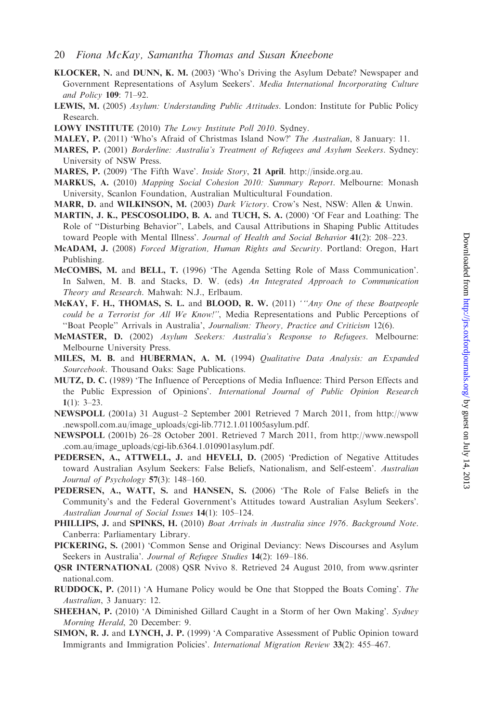- 20 Fiona McKay, Samantha Thomas and Susan Kneebone
- KLOCKER, N. and DUNN, K. M. (2003) 'Who's Driving the Asylum Debate? Newspaper and Government Representations of Asylum Seekers'. Media International Incorporating Culture and Policy 109: 71–92.
- LEWIS, M. (2005) Asylum: Understanding Public Attitudes. London: Institute for Public Policy Research.
- LOWY INSTITUTE (2010) The Lowy Institute Poll 2010. Sydney.
- MALEY, P. (2011) 'Who's Afraid of Christmas Island Now?' The Australian, 8 January: 11.
- MARES, P. (2001) Borderline: Australia's Treatment of Refugees and Asylum Seekers. Sydney: University of NSW Press.
- MARES, P. (2009) 'The Fifth Wave'. Inside Story, 21 April. http://inside.org.au.
- MARKUS, A. (2010) Mapping Social Cohesion 2010: Summary Report. Melbourne: Monash University, Scanlon Foundation, Australian Multicultural Foundation.
- MARR, D. and WILKINSON, M. (2003) Dark Victory. Crow's Nest, NSW: Allen & Unwin.
- MARTIN, J. K., PESCOSOLIDO, B. A. and TUCH, S. A. (2000) 'Of Fear and Loathing: The Role of ''Disturbing Behavior'', Labels, and Causal Attributions in Shaping Public Attitudes toward People with Mental Illness'. Journal of Health and Social Behavior 41(2): 208–223.
- McADAM, J. (2008) Forced Migration, Human Rights and Security. Portland: Oregon, Hart Publishing.
- McCOMBS, M. and BELL, T. (1996) 'The Agenda Setting Role of Mass Communication'. In Salwen, M. B. and Stacks, D. W. (eds) An Integrated Approach to Communication Theory and Research. Mahwah: N.J., Erlbaum.
- McKAY, F. H., THOMAS, S. L. and BLOOD, R. W. (2011) "Any One of these Boatpeople could be a Terrorist for All We Know!", Media Representations and Public Perceptions of ''Boat People'' Arrivals in Australia', Journalism: Theory, Practice and Criticism 12(6).
- McMASTER, D. (2002) Asylum Seekers: Australia's Response to Refugees. Melbourne: Melbourne University Press.
- MILES, M. B. and HUBERMAN, A. M. (1994) Qualitative Data Analysis: an Expanded Sourcebook. Thousand Oaks: Sage Publications.
- MUTZ, D. C. (1989) 'The Influence of Perceptions of Media Influence: Third Person Effects and the Public Expression of Opinions'. International Journal of Public Opinion Research 1(1): 3–23.
- NEWSPOLL (2001a) 31 August–2 September 2001 Retrieved 7 March 2011, from http://www .newspoll.com.au/image\_uploads/cgi-lib.7712.1.011005asylum.pdf.
- NEWSPOLL (2001b) 26–28 October 2001. Retrieved 7 March 2011, from http://www.newspoll .com.au/image\_uploads/cgi-lib.6364.1.010901asylum.pdf.
- PEDERSEN, A., ATTWELL, J. and HEVELI, D. (2005) 'Prediction of Negative Attitudes toward Australian Asylum Seekers: False Beliefs, Nationalism, and Self-esteem'. Australian Journal of Psychology 57(3): 148–160.
- PEDERSEN, A., WATT, S. and HANSEN, S. (2006) 'The Role of False Beliefs in the Community's and the Federal Government's Attitudes toward Australian Asylum Seekers'. Australian Journal of Social Issues 14(1): 105–124.
- PHILLIPS, J. and SPINKS, H. (2010) Boat Arrivals in Australia since 1976. Background Note. Canberra: Parliamentary Library.
- PICKERING, S. (2001) 'Common Sense and Original Deviancy: News Discourses and Asylum Seekers in Australia'. Journal of Refugee Studies 14(2): 169-186.
- QSR INTERNATIONAL (2008) QSR Nvivo 8. Retrieved 24 August 2010, from www.qsrinter national.com.
- RUDDOCK, P. (2011) 'A Humane Policy would be One that Stopped the Boats Coming'. The Australian, 3 January: 12.
- SHEEHAN, P. (2010) 'A Diminished Gillard Caught in a Storm of her Own Making'. Sydney Morning Herald, 20 December: 9.
- SIMON, R. J. and LYNCH, J. P. (1999) 'A Comparative Assessment of Public Opinion toward Immigrants and Immigration Policies'. International Migration Review 33(2): 455–467.